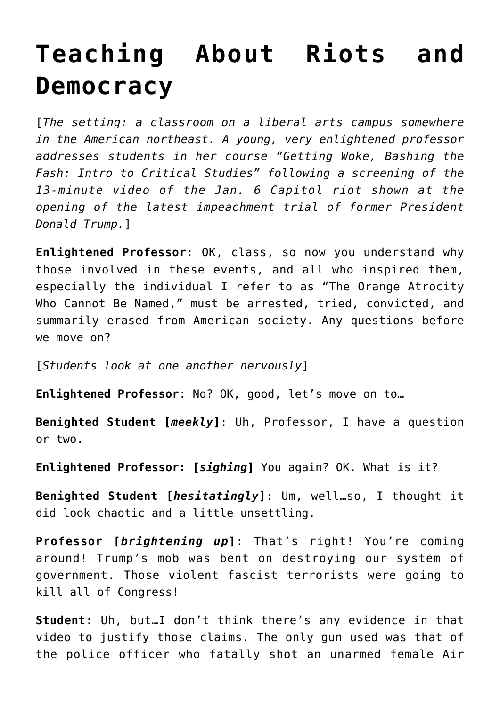## **[Teaching About Riots and](https://intellectualtakeout.org/2021/02/teaching-about-riots-and-democracy/) [Democracy](https://intellectualtakeout.org/2021/02/teaching-about-riots-and-democracy/)**

[*The setting: a classroom on a liberal arts campus somewhere in the American northeast. A young, very enlightened professor addresses students in her course "Getting Woke, Bashing the Fash: Intro to Critical Studies" following a screening of the 13-minute video of the Jan. 6 Capitol riot shown at the opening of the latest impeachment trial of former President Donald Trump.*]

**Enlightened Professor**: OK, class, so now you understand why those involved in these events, and all who inspired them, especially the individual I refer to as "The Orange Atrocity Who Cannot Be Named," must be arrested, tried, convicted, and summarily erased from American society. Any questions before we move on?

[*Students look at one another nervously*]

**Enlightened Professor**: No? OK, good, let's move on to…

**Benighted Student [***meekly***]**: Uh, Professor, I have a question or two.

**Enlightened Professor: [***sighing***]** You again? OK. What is it?

**Benighted Student [***hesitatingly***]**: Um, well…so, I thought it did look chaotic and a little unsettling.

**Professor [***brightening up***]**: That's right! You're coming around! Trump's mob was bent on destroying our system of government. Those violent fascist terrorists were going to kill all of Congress!

**Student**: Uh, but…I don't think there's any evidence in that video to justify those claims. The only gun used was that of the police officer who fatally shot an unarmed female Air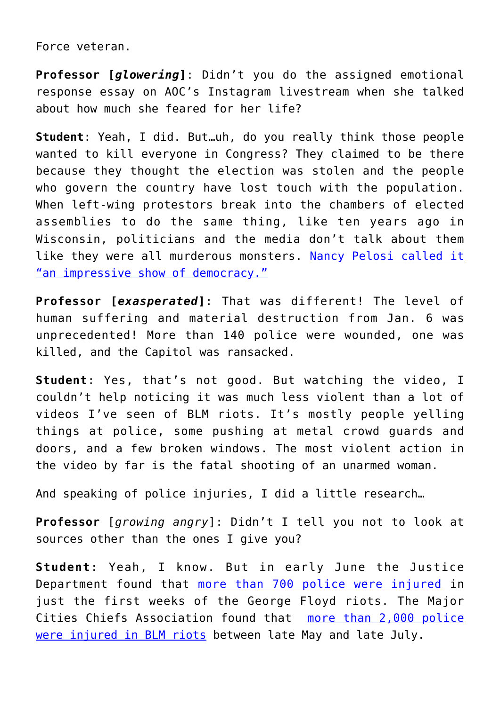Force veteran.

**Professor [***glowering***]**: Didn't you do the assigned emotional response essay on AOC's Instagram livestream when she talked about how much she feared for her life?

**Student**: Yeah, I did. But…uh, do you really think those people wanted to kill everyone in Congress? They claimed to be there because they thought the election was stolen and the people who govern the country have lost touch with the population. When left-wing protestors break into the chambers of elected assemblies to do the same thing, like ten years ago in Wisconsin, politicians and the media don't talk about them like they were all murderous monsters. [Nancy Pelosi called it](https://www.foxnews.com/politics/nancy-pelosi-praised-unionists-wisconsin-state-capitol) ["an impressive show of democracy."](https://www.foxnews.com/politics/nancy-pelosi-praised-unionists-wisconsin-state-capitol)

**Professor [***exasperated***]**: That was different! The level of human suffering and material destruction from Jan. 6 was unprecedented! More than 140 police were wounded, one was killed, and the Capitol was ransacked.

**Student**: Yes, that's not good. But watching the video, I couldn't help noticing it was much less violent than a lot of videos I've seen of BLM riots. It's mostly people yelling things at police, some pushing at metal crowd guards and doors, and a few broken windows. The most violent action in the video by far is the fatal shooting of an unarmed woman.

And speaking of police injuries, I did a little research…

**Professor** [*growing angry*]: Didn't I tell you not to look at sources other than the ones I give you?

**Student**: Yeah, I know. But in early June the Justice Department found that [more than 700 police were injured](https://nypost.com/2020/06/08/more-than-700-officers-injured-in-george-floyd-protests-across-us/) in just the first weeks of the George Floyd riots. The Major Cities Chiefs Association found that [more than 2,000 police](https://www.foxnews.com/us/police-chief-officers-injured-riots) [were injured in BLM riots](https://www.foxnews.com/us/police-chief-officers-injured-riots) between late May and late July.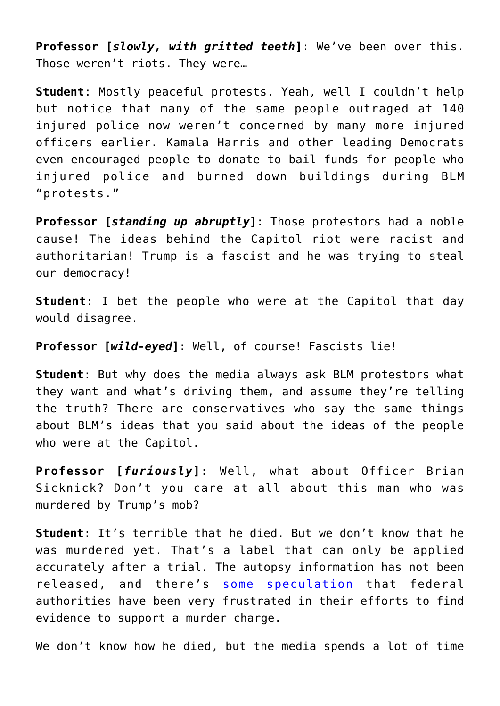**Professor [***slowly, with gritted teeth***]**: We've been over this. Those weren't riots. They were…

**Student**: Mostly peaceful protests. Yeah, well I couldn't help but notice that many of the same people outraged at 140 injured police now weren't concerned by many more injured officers earlier. Kamala Harris and other leading Democrats even encouraged people to donate to bail funds for people who injured police and burned down buildings during BLM "protests."

**Professor [***standing up abruptly***]**: Those protestors had a noble cause! The ideas behind the Capitol riot were racist and authoritarian! Trump is a fascist and he was trying to steal our democracy!

**Student**: I bet the people who were at the Capitol that day would disagree.

**Professor [***wild-eyed***]**: Well, of course! Fascists lie!

**Student**: But why does the media always ask BLM protestors what they want and what's driving them, and assume they're telling the truth? There are conservatives who say the same things about BLM's ideas that you said about the ideas of the people who were at the Capitol.

**Professor [***furiously***]**: Well, what about Officer Brian Sicknick? Don't you care at all about this man who was murdered by Trump's mob?

**Student**: It's terrible that he died. But we don't know that he was murdered yet. That's a label that can only be applied accurately after a trial. The autopsy information has not been released, and there's [some speculation](https://amgreatness.com/2021/02/08/what-happened-to-officer-brian-sicknick/) that federal authorities have been very frustrated in their efforts to find evidence to support a murder charge.

We don't know how he died, but the media spends a lot of time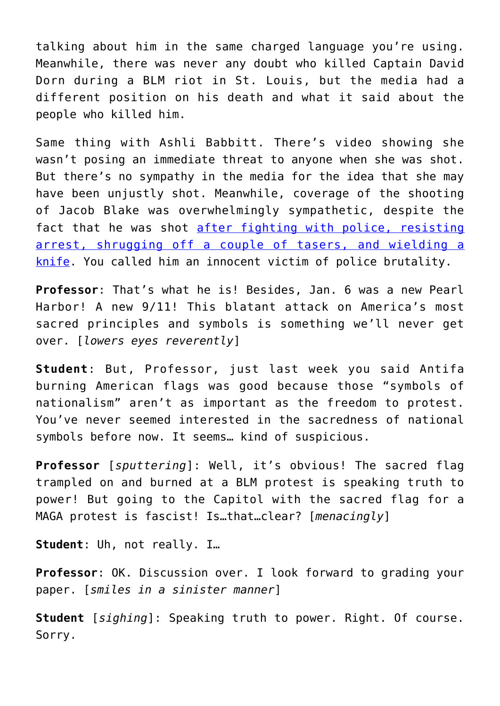talking about him in the same charged language you're using. Meanwhile, there was never any doubt who killed Captain David Dorn during a BLM riot in St. Louis, but the media had a different position on his death and what it said about the people who killed him.

Same thing with Ashli Babbitt. There's video showing she wasn't posing an immediate threat to anyone when she was shot. But there's no sympathy in the media for the idea that she may have been unjustly shot. Meanwhile, coverage of the shooting of Jacob Blake was overwhelmingly sympathetic, despite the fact that he was shot [after fighting with police, resisting](https://www.foxnews.com/us/jacob-blake-knife-shot-police) [arrest, shrugging off a couple of tasers, and wielding a](https://www.foxnews.com/us/jacob-blake-knife-shot-police) [knife](https://www.foxnews.com/us/jacob-blake-knife-shot-police). You called him an innocent victim of police brutality.

**Professor**: That's what he is! Besides, Jan. 6 was a new Pearl Harbor! A new 9/11! This blatant attack on America's most sacred principles and symbols is something we'll never get over. [*lowers eyes reverently*]

**Student**: But, Professor, just last week you said Antifa burning American flags was good because those "symbols of nationalism" aren't as important as the freedom to protest. You've never seemed interested in the sacredness of national symbols before now. It seems… kind of suspicious.

**Professor** [*sputtering*]: Well, it's obvious! The sacred flag trampled on and burned at a BLM protest is speaking truth to power! But going to the Capitol with the sacred flag for a MAGA protest is fascist! Is…that…clear? [*menacingly*]

**Student**: Uh, not really. I…

**Professor**: OK. Discussion over. I look forward to grading your paper. [*smiles in a sinister manner*]

**Student** [*sighing*]: Speaking truth to power. Right. Of course. Sorry.